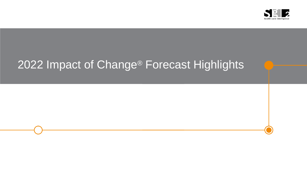

# 2022 Impact of Change® Forecast Highlights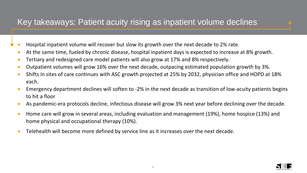## Key takeaways: Patient acuity rising as inpatient volume declines

- Hospital inpatient volume will recover but slow its growth over the next decade to 2% rate.
	- At the same time, fueled by chronic disease, hospital inpatient days is expected to increase at 8% growth.
- Tertiary and redesigned care model patients will also grow at 17% and 8% respectively.
- Outpatient volumes will grow 16% over the next decade, outpacing estimated population growth by 3%.
- Shifts in sites of care continues with ASC growth projected at 25% by 2032, physician office and HOPD at 18% each.
- Emergency department declines will soften to -2% in the next decade as transition of low-acuity patients begins to hit a floor
- As pandemic-era protocols decline, infectious disease will grow 3% next year before declining over the decade.
- Home care will grow in several areas, including evaluation and management (19%), home hospice (13%) and home physical and occupational therapy (10%).
- Telehealth will become more defined by service line as it increases over the next decade.

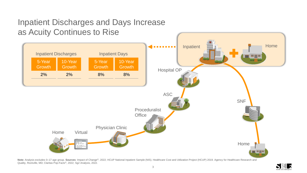# Inpatient Discharges and Days Increase as Acuity Continues to Rise



Note: Analysis excludes 0–17 age group. Sources: Impact of Change®, 2022; HCUP National Inpatient Sample (NIS). Healthcare Cost and Utilization Project (HCUP) 2019. Agency for Healthcare Research and Quality, Rockville, MD; Claritas Pop-Facts®, 2022; Sg2 Analysis, 2022.

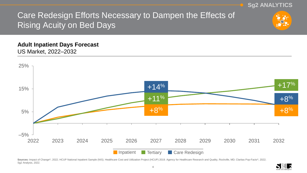

#### **Adult Inpatient Days Forecast** US Market, 2022–2032



Sources: Impact of Change®, 2022; HCUP National Inpatient Sample (NIS). Healthcare Cost and Utilization Project (HCUP) 2019. Agency for Healthcare Research and Quality, Rockville, MD; Claritas Pop-Facts®, 2022; Sg2 Analysis, 2022.

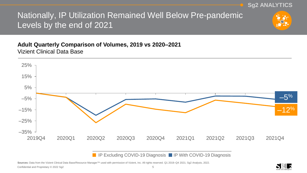**Sg2 ANALYTICS**

# Nationally, IP Utilization Remained Well Below Pre-pandemic Levels by the end of 2021

## **Adult Quarterly Comparison of Volumes, 2019 vs 2020–2021** Vizient Clinical Data Base



**IP Excluding COVID-19 Diagnosis IP With COVID-19 Diagnosis** 

Sources: Data from the Vizient Clinical Data Base/Resource Manager<sup>™</sup> used with permission of Vizient, Inc. All rights reserved. Q1 2019–Q4 2021; Sg2 Analysis, 2022.

Confidential and Proprietary © 2022 Sg2 5

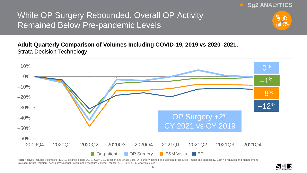While OP Surgery Rebounded, Overall OP Activity Remained Below Pre-pandemic Levels

### **Adult Quarterly Comparison of Volumes Including COVID-19, 2019 vs 2020–2021,**  Strata Decision Technology



Note: Analysis includes volumes for ICD-10 diagnosis code U07.1, COVID-19 infection and virtual visits. OP surgery defined as outpatient procedures—major and endoscopy. E&M = evaluation and management. **Sources:** Strata Decision Technology National Patient and Procedure Volume Tracker (2019–2021); Sg2 Analysis, 2022.



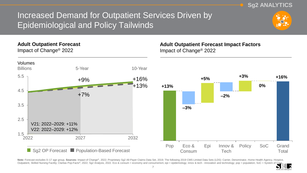Increased Demand for Outpatient Services Driven by Epidemiological and Policy Tailwinds



**Sg2 ANALYTICS**

#### **Adult Outpatient Forecast**

Impact of Change® 2022



#### **Adult Outpatient Forecast Impact Factors** Impact of Change® 2022



Note: Forecast excludes 0-17 age group. Sources: Impact of Change®, 2022; Proprietary Sg2 All-Payer Claims Data Set, 2019; The following 2019 CMS Limited Data Sets (LDS): Carrier, Denominator, Home Health Agency, Hospice, Outpatient, Skilled Nursing Facility; Claritas Pop-Facts®, 2022; Sg2 Analysis, 2022. Eco & consum = economy and consumerism; epi = epidemiology; innov & tech - innovation and technology; pop = population; SoC = System of C

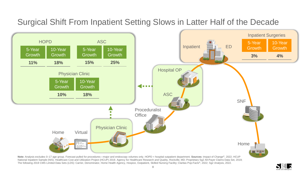# Surgical Shift From Inpatient Setting Slows in Latter Half of the Decade



National Inpatient Sample (NIS). Healthcare Cost and Utilization Project (HCUP) 2019. Agency for Healthcare Research and Quality, Rockville, MD; Proprietary Sg2 All-Payer Claims Data Set, 2019; The following 2019 CMS Limited Data Sets (LDS): Carrier, Denominator, Home Health Agency, Hospice, Outpatient, Skilled Nursing Facility; Claritas Pop-Facts®, 2022; Sg2 Analysis, 2022.

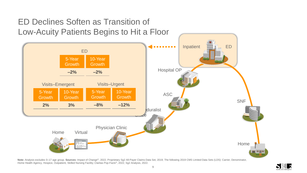

Note: Analysis excludes 0–17 age group. Sources: Impact of Change®, 2022; Proprietary Sg2 All-Payer Claims Data Set, 2019; The following 2019 CMS Limited Data Sets (LDS): Carrier, Denominator, Home Health Agency, Hospice, Outpatient, Skilled Nursing Facility; Claritas Pop-Facts®, 2022; Sg2 Analysis, 2022.

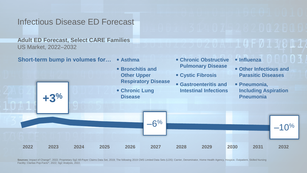## Infectious Disease ED Forecast

**Adult ED Forecast, Select CARE Families** US Market, 2022–2032

**Short-term bump in volumes for… Asthma**

**• Bronchitis and Other Upper** 

 **Chronic Obstructive Pulmonary Disease**

**Cystic Fibrosis**

**Influenza**

 **Other Infectious and Parasitic Diseases**

E U I D U U U U U U

Sources: Impact of Change®, 2022; Proprietary Sg2 All-Payer Claims Data Set, 2019; The following 2019 CMS Limited Data Sets (LDS): Carrier, Denominator, Home Health Agency, Hospice, Outpatient, Skilled Nursing Facility; Claritas Pop-Facts®, 2022; Sg2 Analysis, 2022.

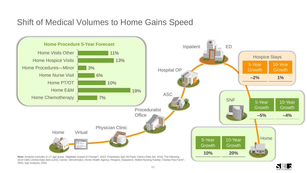## Shift of Medical Volumes to Home Gains Speed



2019 CMS Limited Data Sets (LDS): Carrier, Denominator, Home Health Agency, Hospice, Outpatient, Skilled Nursing Facility; Claritas Pop-Facts®, 2022; Sg2 Analysis, 2022.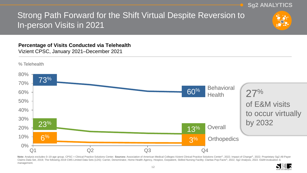**Sg2 ANALYTICS Strong Path Forward for the Shift Virtual Despite Reversion to** In-person Visits in 2021

**Percentage of Visits Conducted via Telehealth** Vizient CPSC, January 2021–December 2021



Note: Analysis excludes 0-19 age group. CPSC = Clinical Practice Solutions Center. Sources: Association of American Medical Colleges-Vizient Clinical Practice Solutions Center®, 2022; Impact of Change®, 2022; Proprietary S Claims Data Set, 2019; The following 2019 CMS Limited Data Sets (LDS): Carrier, Denominator, Home Health Agency, Hospice, Outpatient, Skilled Nursing Facility; Claritas Pop-Facts®, 2022; Sg2 Analysis, 2022. E&M=evaluation management.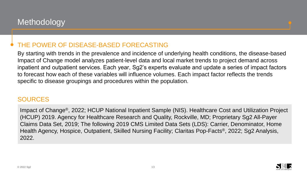## THE POWER OF DISEASE-BASED FORECASTING

By starting with trends in the prevalence and incidence of underlying health conditions, the disease-based Impact of Change model analyzes patient-level data and local market trends to project demand across inpatient and outpatient services. Each year, Sg2's experts evaluate and update a series of impact factors to forecast how each of these variables will influence volumes. Each impact factor reflects the trends specific to disease groupings and procedures within the population.

## SOURCES

Impact of Change®, 2022; HCUP National Inpatient Sample (NIS). Healthcare Cost and Utilization Project (HCUP) 2019. Agency for Healthcare Research and Quality, Rockville, MD; Proprietary Sg2 All-Payer Claims Data Set, 2019; The following 2019 CMS Limited Data Sets (LDS): Carrier, Denominator, Home Health Agency, Hospice, Outpatient, Skilled Nursing Facility; Claritas Pop-Facts®, 2022; Sg2 Analysis, 2022.